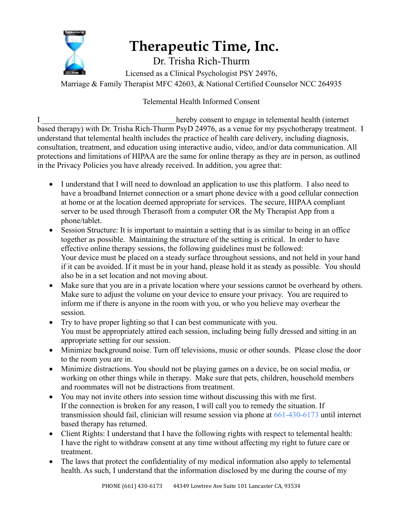

## **Therapeutic Time, Inc.**

Dr. Trisha Rich-Thurm

Licensed as a Clinical Psychologist PSY 24976, Marriage & Family Therapist MFC 42603, & National Certified Counselor NCC 264935

## Telemental Health Informed Consent

I consent to engage in telemental health (internet based therapy) with Dr. Trisha Rich-Thurm PsyD 24976, as a venue for my psychotherapy treatment. I understand that telemental health includes the practice of health care delivery, including diagnosis, consultation, treatment, and education using interactive audio, video, and/or data communication. All protections and limitations of HIPAA are the same for online therapy as they are in person, as outlined in the Privacy Policies you have already received. In addition, you agree that:

- I understand that I will need to download an application to use this platform. I also need to have a broadband Internet connection or a smart phone device with a good cellular connection at home or at the location deemed appropriate for services. The secure, HIPAA compliant server to be used through Therasoft from a computer OR the My Therapist App from a phone/tablet.
- Session Structure: It is important to maintain a setting that is as similar to being in an office together as possible. Maintaining the structure of the setting is critical. In order to have effective online therapy sessions, the following guidelines must be followed: Your device must be placed on a steady surface throughout sessions, and not held in your hand if it can be avoided. If it must be in your hand, please hold it as steady as possible. You should also be in a set location and not moving about.
- Make sure that you are in a private location where your sessions cannot be overheard by others. Make sure to adjust the volume on your device to ensure your privacy. You are required to inform me if there is anyone in the room with you, or who you believe may overhear the session.
- Try to have proper lighting so that I can best communicate with you. You must be appropriately attired each session, including being fully dressed and sitting in an appropriate setting for our session.
- Minimize background noise. Turn off televisions, music or other sounds. Please close the door to the room you are in.
- Minimize distractions. You should not be playing games on a device, be on social media, or working on other things while in therapy. Make sure that pets, children, household members and roommates will not be distractions from treatment.
- You may not invite others into session time without discussing this with me first. If the connection is broken for any reason, I will call you to remedy the situation. If transmission should fail, clinician will resume session via phone at 661-430-6173 until internet based therapy has returned.
- Client Rights: I understand that I have the following rights with respect to telemental health: I have the right to withdraw consent at any time without affecting my right to future care or treatment.
- The laws that protect the confidentiality of my medical information also apply to telemental health. As such, I understand that the information disclosed by me during the course of my